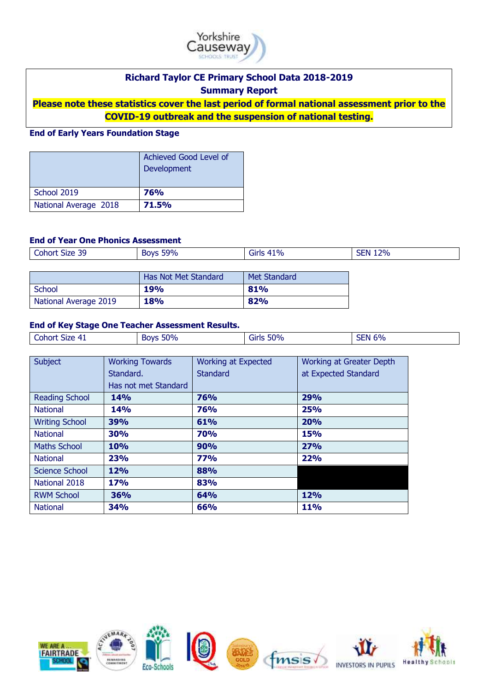

# **Richard Taylor CE Primary School Data 2018-2019**

**Summary Report**

**Please note these statistics cover the last period of formal national assessment prior to the COVID-19 outbreak and the suspension of national testing.**

## **End of Early Years Foundation Stage**

|                       | Achieved Good Level of<br>Development |
|-----------------------|---------------------------------------|
| School 2019           | <b>76%</b>                            |
| National Average 2018 | <b>71.5%</b>                          |

## **End of Year One Phonics Assessment**

| 39<br>Cohort '<br>Size 39<br>. | <b>Boys 59%</b> | $1\%$<br><b>Girls</b><br>__<br>__ | 12%<br><b>SEN</b><br>________ |
|--------------------------------|-----------------|-----------------------------------|-------------------------------|
|                                |                 |                                   |                               |

|                       | Has Not Met Standard | Met Standard |
|-----------------------|----------------------|--------------|
| School                | <b>19%</b>           | 81%          |
| National Average 2019 | <b>18%</b>           | 82%          |

#### **End of Key Stage One Teacher Assessment Results.**

| Size 41<br><b>Cohort</b><br>. . | 50%<br><b>SOVE</b> | 50%<br>عاتات | 6% |
|---------------------------------|--------------------|--------------|----|

| Subject               | <b>Working Towards</b><br>Standard. | <b>Working at Expected</b><br><b>Standard</b> | <b>Working at Greater Depth</b><br>at Expected Standard |
|-----------------------|-------------------------------------|-----------------------------------------------|---------------------------------------------------------|
|                       | Has not met Standard                |                                               |                                                         |
| <b>Reading School</b> | <b>14%</b>                          | 76%                                           | 29%                                                     |
| <b>National</b>       | <b>14%</b>                          | 76%                                           | 25%                                                     |
| <b>Writing School</b> | 39%                                 | 61%                                           | 20%                                                     |
| <b>National</b>       | 30%                                 | <b>70%</b>                                    | 15%                                                     |
| <b>Maths School</b>   | <b>10%</b>                          | 90%                                           | 27%                                                     |
| <b>National</b>       | 23%                                 | <b>77%</b>                                    | 22%                                                     |
| Science School        | <b>12%</b>                          | 88%                                           |                                                         |
| National 2018         | <b>17%</b>                          | 83%                                           |                                                         |
| <b>RWM School</b>     | 36%                                 | <b>64%</b>                                    | <b>12%</b>                                              |
| <b>National</b>       | <b>34%</b>                          | 66%                                           | <b>11%</b>                                              |

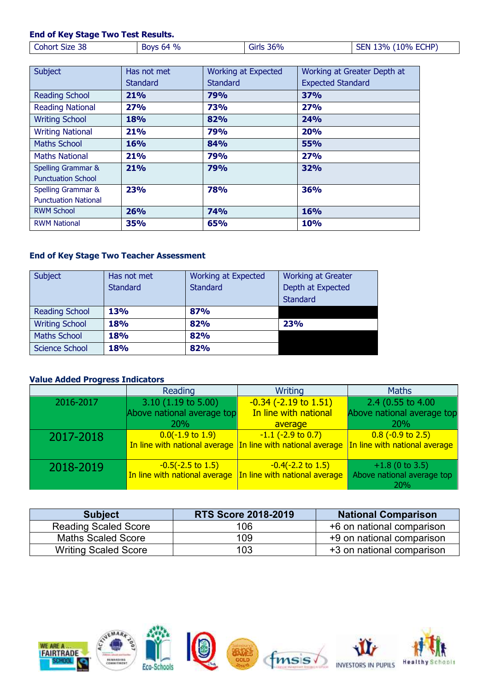## **End of Key Stage Two Test Results.**

| Subject                     | Has not met | <b>Working at Expected</b> | Working at Greater Depth at |
|-----------------------------|-------------|----------------------------|-----------------------------|
|                             | Standard    | <b>Standard</b>            | <b>Expected Standard</b>    |
| <b>Reading School</b>       | 21%         | <b>79%</b>                 | 37%                         |
| <b>Reading National</b>     | 27%         | 73%                        | 27%                         |
| <b>Writing School</b>       | 18%         | 82%                        | <b>24%</b>                  |
| <b>Writing National</b>     | 21%         | 79%                        | <b>20%</b>                  |
| <b>Maths School</b>         | 16%         | 84%                        | 55%                         |
| <b>Maths National</b>       | 21%         | 79%                        | 27%                         |
| Spelling Grammar &          | 21%         | 79%                        | <b>32%</b>                  |
| <b>Punctuation School</b>   |             |                            |                             |
| Spelling Grammar &          | <b>23%</b>  | <b>78%</b>                 | 36%                         |
| <b>Punctuation National</b> |             |                            |                             |
| <b>RWM School</b>           | 26%         | <b>74%</b>                 | <b>16%</b>                  |
| <b>RWM National</b>         | 35%         | 65%                        | 10%                         |

## **End of Key Stage Two Teacher Assessment**

| Subject               | Has not met     | <b>Working at Expected</b> | <b>Working at Greater</b> |
|-----------------------|-----------------|----------------------------|---------------------------|
|                       | <b>Standard</b> | <b>Standard</b>            | Depth at Expected         |
|                       |                 |                            | <b>Standard</b>           |
| <b>Reading School</b> | <b>13%</b>      | 87%                        |                           |
| <b>Writing School</b> | <b>18%</b>      | 82%                        | <b>23%</b>                |
| <b>Maths School</b>   | <b>18%</b>      | 82%                        |                           |
| <b>Science School</b> | <b>18%</b>      | 82%                        |                           |

### **Value Added Progress Indicators**

|           | Reading                       | Writing                                                                                   | <b>Maths</b>                      |
|-----------|-------------------------------|-------------------------------------------------------------------------------------------|-----------------------------------|
| 2016-2017 | $3.10$ (1.19 to 5.00)         | $-0.34$ ( $-2.19$ to $1.51$ )                                                             | 2.4 (0.55 to 4.00)                |
|           | Above national average top    | In line with national                                                                     | Above national average top        |
|           | <b>20%</b>                    | average                                                                                   | 20%                               |
| 2017-2018 | $0.0(-1.9 \text{ to } 1.9)$   | $-1.1$ ( $-2.9$ to 0.7)                                                                   | $0.8$ (-0.9 to 2.5)               |
|           |                               | In line with national average In line with national average In line with national average |                                   |
| 2018-2019 | $-0.5(-2.5 \text{ to } 1.5)$  | $-0.4(-2.2 \text{ to } 1.5)$                                                              | $+1.8$ (0 to 3.5)                 |
|           | In line with national average | In line with national average                                                             | Above national average top<br>20% |

| <b>Subject</b>              | <b>RTS Score 2018-2019</b> | <b>National Comparison</b> |
|-----------------------------|----------------------------|----------------------------|
| <b>Reading Scaled Score</b> | 106                        | +6 on national comparison  |
| <b>Maths Scaled Score</b>   | 109                        | +9 on national comparison  |
| <b>Writing Scaled Score</b> | 103                        | +3 on national comparison  |